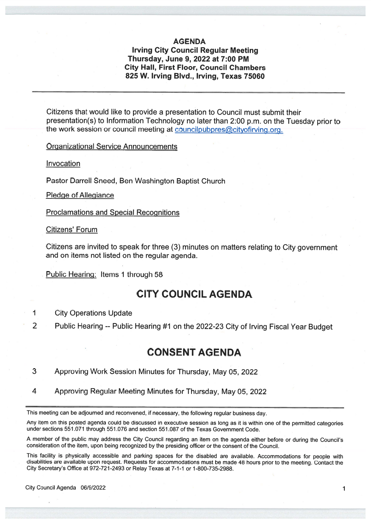#### AGENDA

#### Irving City Council Regular Meeting Thursday, June 9, 2022 at 7:00 PM City Hall, First Floor, Council Chambers 825 W. Irving Blvd., Irving, Texas 75060

Citizens that would like to provide <sup>a</sup> presentation to Council must submit their presentation(s) to Information Technology no later than 2:00 p.m. on the Tuesday prior to the work session or council meeting at councilpubpres@cityofirving.org.

Organizational Service Announcements

Invocation

Pastor Darrell Sneed, Ben Washington Baptist Church

Pledge of Allegiance

Proclamations and Special Recognitions

Citizens' Forum

Citizens are invited to spea<sup>k</sup> for three (3) minutes on matters relating to City governmen<sup>t</sup> and on items not listed on the regular agenda.

Public Hearing: Items 1 through 58

## CITY COUNCIL AGENDA

#### 1 City Operations Update

<sup>2</sup> Public Hearing -- Public Hearing #1 on the 2022-23 City of Irving Fiscal Year Budget

## **CONSENT AGENDA**

- 3 Approving Work Session Minutes for Thursday, May 05, 2022
- <sup>4</sup> Approving Regular Meeting Minutes for Thursday, May 05, 2022

This meeting can be adjourned and reconvened, if necessary, the following regular business day.

Any item on this posted agenda could be discussed in executive session as long as it is within one of the permitted categories under sections 551 .071 through 551 .076 and section 551 .087 of the Texas Government Code.

<sup>A</sup> member of the public may address the City Council regarding an item on the agenda either before or during the Council's consideration ofthe item, upon being recognized by the presiding officer orthe consent ofthe Council.

This facility is <sup>p</sup>hysically accessible and parking spaces for the disabled are available. Accommodations for people with disabilities are available upon request. Requests for accommodations must be made <sup>48</sup> hours prior to the meeting. Contact the City Secretary's Office at 972-721-2493 or Relay Texas at 7-1-1 or 1-800-735-2988.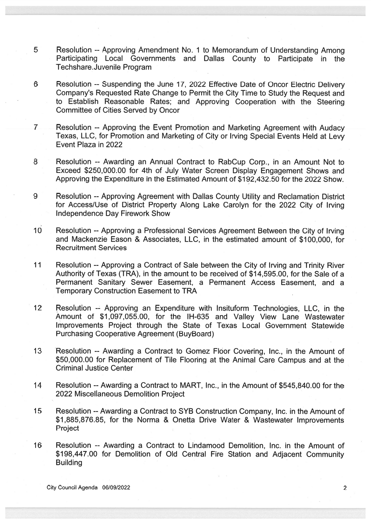- 5 Resolution -- Approving Amendment No. <sup>I</sup> to Memorandum of Understanding Among Participating Local Governments and Dallas County to Participate in the Techshare.Juvenile Program
- 6 Resolution -- Suspending the June 17, 2022 Effective Date of Oncor Electric Delivery Company's Requested Rate Change to Permit the City Time to Study the Request and to Establish Reasonable Rates; and Approving Cooperation with the Steering Committee of Cities Served by Oncor
- <sup>7</sup> Resolution -- Approving the Event Promotion and Marketing Agreement with Audacy Texas, LLC, for Promotion and Marketing of City or Irving Special Events Held at Levy Event Plaza in 2022
- 8 Resolution -- Awarding an Annual Contract to RabCup Corp., in an Amount Not to Exceed \$250,000.00 for 4th of July Water Screen Display Engagement Shows and Approving the Expenditure in the Estimated Amount of \$1 92,432.50 for the 2022 Show.
- 9 Resolution --Approving Agreement with Dallas County Utility and Reclamation District for Access/Use of District Property Along Lake Carolyn for the 2022 City of Irving Independence Day Firework Show
- 10 Resolution -- Approving a Professional Services Agreement Between the City of Irving and Mackenzie Eason & Associates, LLC, in the estimated amount of \$100,000, for Recruitment Services
- 11 Resolution -- Approving a Contract of Sale between the City of Irving and Trinity River Authority of Texas (TRA), in the amount to be received of \$1 4,595.00, for the Sale of <sup>a</sup> Permanent Sanitary Sewer Easement, <sup>a</sup> Permanent Access Easement, and <sup>a</sup> Temporary Construction Easement to TRA
- 12 Resolution -- Approving an Expenditure with Insituform Technologies, LLC, in the Amount of \$1 ,097,055.00, for the IH-635 and Valley View Lane Wastewater Improvements Project through the State of Texas Local Government Statewide Purchasing Cooperative Agreement (BuyBoard)
- 13 Resolution -- Awarding <sup>a</sup> Contract to Gomez Floor Covering, Inc., in the Amount of \$50,000.00 for Replacement of Tile Flooring at the Animal Care Campus and at the Criminal Justice Center
- 14 Resolution --Awarding <sup>a</sup> Contract to MART, Inc., in the Amount of \$545,840.00 for the 2022 Miscellaneous Demolition Project
- 15 Resolution -- Awarding a Contract to SYB Construction Company, Inc. in the Amount of \$1,885,876.85, for the Norma & Onetta Drive Water & Wastewater Improvements Project
- 16 Resolution -- Awarding <sup>a</sup> Contract to Lindamood Demolition, Inc. in the Amount of \$198,447.00 for Demolition of Old Central Fire Station and Adjacent Community **Building**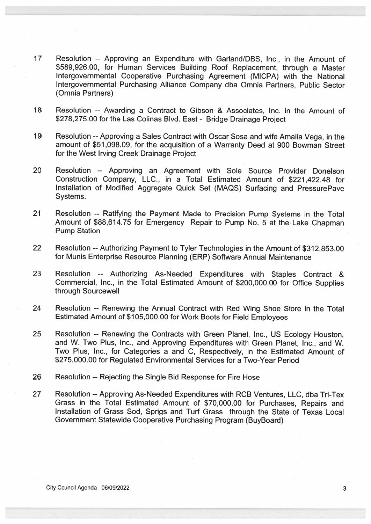- 17 Resolution -- Approving an Expenditure with Garland/DBS, Inc., in the Amount of \$589,926.00, for Human Services Building Roof Replacement, through <sup>a</sup> Master Intergovernmental Cooperative Purchasing Agreement .(MICPA) with the National Intergovernmental Purchasing Alliance Company dba Omnia Partners, Public Sector (Omnia Partners)
- 18 Resolution -- Awarding a Contract to Gibson & Associates, Inc. in the Amount of \$278,275.00 for the Las Colinas Blvd. East - Bridge Drainage Project
- 19 Resolution -- Approving a Sales Contract with Oscar Sosa and wife Amalia Vega, in the amount of \$51 ,098.09, for the acquisition of <sup>a</sup> Warranty Deed at 900 Bowman Street for the West Irving Creek Drainage Project
- 20 Resolution -- Approving an Agreement with Sole Source Provider Donelson Construction Company, LLC., in <sup>a</sup> Total Estimated Amount of \$221,422.48 for Installation of Modified Aggregate Quick Set (MAQS) Surfacing and PressurePave Systems.
- <sup>21</sup> Resolution -- Ratifying the Payment Made to Precision Pump Systems in the Total Amount of \$88,614.75 for Emergency Repair to Pump No. <sup>5</sup> at the Lake Chapman Pump Station
- 22 Resolution --Authorizing Payment to Tyler Technologies in the Amount of \$312,853.00 for Munis Enterprise Resource Planning (ERP) Software Annual Maintenance
- 23 Resolution -- Authorizing As-Needed Expenditures with Staples Contract & Commercial, Inc., in the Total Estimated Amount of \$200,000.00 for Office Supplies through Sourcewell
- <sup>24</sup> Resolution -- Renewing the Annual Contract with Red Wing Shoe Store in the Total Estimated Amount of \$1 05,000.00 for Work Boots for Field Employees
- <sup>25</sup> Resolution -- Renewing the Contracts with Green Planet, Inc., US Ecology Houston, and W. Two Plus, Inc., and Approving Expenditures with Green Planet, Inc., and W. Two Plus, Inc., for Categories <sup>a</sup> and C, Respectively, in the Estimated Amount of \$275,000.00 for Regulated Environmental Services for <sup>a</sup> Two-Year Period
- 26 Resolution --Rejecting the Single Bid Response for Fire Hose
- 27 Resolution --Approving As-Needed Expenditures with RCB Ventures, LLC, dba Tri-Tex Grass in the Total Estimated Amount of \$70,000.00 for Purchases, Repairs and Installation of Grass Sod, Sprigs and Turf Grass through the State of Texas Local Government Statewide Cooperative Purchasing Program (BuyBoard)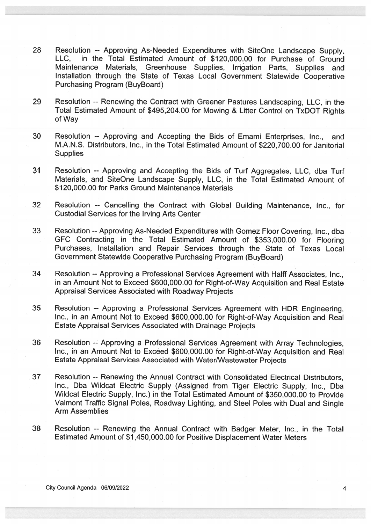- <sup>28</sup> Resolution -- Approving As-Needed Expenditures with SiteOne Landscape Supply, in the Total Estimated Amount of \$120,000.00 for Purchase of Ground Maintenance Materials, Greenhouse Supplies, Irrigation Parts, Supplies and Installation through the State of Texas Local Government Statewide Cooperative Purchasing Program (BuyBoard)
- 29 Resolution -- Renewing the Contract with Greener Pastures Landscaping, LLC, in the Total Estimated Amount of \$495,204.00 for Mowing & Litter Control on TxDOT Rights of Way
- 30 Resolution -- Approving and Accepting the Bids of Emami Enterprises, Inc., and M.A.N.S. Distributors, Inc., in the Total Estimated Amount of \$220,700.00 for Janitorial **Supplies**
- 31 Resolution -- Approving and Accepting the Bids of Turf Aggregates, LLC, dba Turf Materials, and SiteOne Landscape Supply, LLC, in the Total Estimated Amount of \$120,000.00 for Parks Ground Maintenance Materials
- 32 Resolution -- Cancelling the Contract with Global Building Maintenance, Inc., for Custodial Services for the Irving Arts Center
- 33 Resolution --Approving As-Needed Expenditures with Gomez Floor Covering, Inc., dba GFC Contracting in the Total Estimated Amount of \$353,000.00 for Flooring Purchases, Installation and Repair Services through the State of Texas Local Government Statewide Cooperative Purchasing Program (BuyBoard)
- 34 Resolution --Approving <sup>a</sup> Professional Services Agreement with Half Associates, Inc., in an Amount Not to Exceed \$600,000.00 for Right-of-Way Acquisition and Real Estate Appraisal Services Associated with Roadway Projects
- <sup>35</sup> Resolution -- Approving <sup>a</sup> Professional Services Agreement with HDR Engineering, Inc., in an Amount Not to Exceed \$600,000.00 for Right-of-Way Acquisition and Real Estate Appraisal Services Associated with Drainage Projects
- <sup>36</sup> Resolution -- Approving <sup>a</sup> Professional Services Agreement with Array Technologies, Inc., in an Amount Not to Exceed \$600,000.00 for Right-of-Way Acquisition and Real Estate Appraisal Services Associated with Water/Wastewater Projects
- 37 Resolution -- Renewing the Annual Contract with Consolidated Electrical Distributors, Inc., Dba Wildcat Electric Supply (Assigned from Tiger Electric Supply, Inc., Dba Wildcat Electric Supply, Inc.) in the Total Estimated Amount of \$350,000.00 to Provide Valmont Traffic Signal Poles, Roadway Lighting, and Steel Poles with Dual and Single Arm Assemblies
- 38 Resolution -- Renewing the Annual Contract with Badger Meter, Inc., in the Total Estimated Amount of \$1,450,000.00 for Positive Displacement Water Meters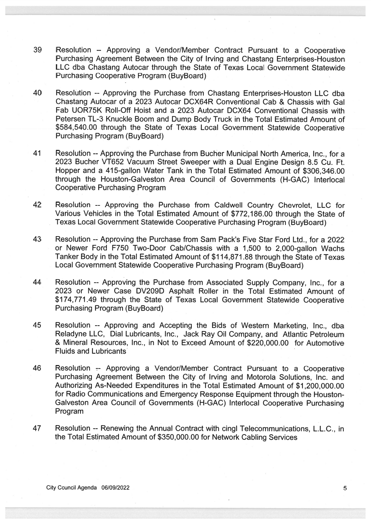- 39 Resolution -- Approving <sup>a</sup> Vendor/Member Contract Pursuant to <sup>a</sup> Cooperative Purchasing Agreement Between the City of Irving and Chastang Enterprises-Houston LLC dba Chastang Autocar through the State of Texas Local Government Statewide Purchasing Cooperative Program (BuyBoard)
- 40 Resolution -- Approving the Purchase from Chastang Enterprises-Houston LLC dba Chastang Autocar of <sup>a</sup> 2023 Autocar DCX64R Conventional Cab & Chassis with Gal Fab UOR75K Roll-Off Hoist and <sup>a</sup> 2023 Autocar DCX64 Conventional Chassis with Petersen TL-3 Knuckle Boom and Dump Body Truck in the Total Estimated Amount of \$584,540.00 through the State of Texas Local Government Statewide Cooperative Purchasing Program (BuyBoard)
- 41 Resolution --Approving the Purchase from Bucher Municipal North America, Inc., for <sup>a</sup> 2023 Bucher VT652 Vacuum Street Sweeper with <sup>a</sup> Dual Engine Design 8.5 Cu. Ft. Hopper and <sup>a</sup> 415-gallon Water Tank in.the Total Estimated Amount of \$306,346.00 through the Houston-Galveston Area Council of Governments (H-GAC) Interlocal Cooperative Purchasing Program
- 42 Resolution -- Approving the Purchase from Caldwell Country Chevrolet, LLC for Various Vehicles in the Total Estimated Amount of \$772,186.00 through the State of Texas Local Government Statewide Cooperative Purchasing Program (BuyBoard)
- 43 Resolution -- Approving the Purchase from Sam Pack's Five Star Ford Ltd., for a 2022 or Newer Ford F750 Two-Door Cab/Chassis with <sup>a</sup> <sup>I</sup> ,500 to 2,000-gallon Wachs Tanker Body in the Total Estimated Amount of \$1 14,871 .88 through the State of Texas Local Government Statewide Cooperative Purchasing Program (BuyBoard)
- 44 Resolution -- Approving the Purchase from Associated Supply Company, Inc., for <sup>a</sup> 2023 or Newer Case DV2O9D Asphalt Roller in the Total Estimated Amount of \$174,771.49 through the State of Texas Local Government Statewide Cooperative Purchasing Program (BuyBoard)
- 45 Resolution -- Approving and Accepting the Bids of Western Marketing, Inc., dba Reladyne LLC, Dial Lubricants, Inc., Jack Ray Oil Company, and Atlantic Petroleum & Mineral Resources, Inc., in Not to Exceed Amount of \$220,000.00 for Automotive Fluids and Lubricants
- <sup>46</sup> Resolution -- Approving <sup>a</sup> Vendor/Member Contract Pursuant to <sup>a</sup> Cooperative Purchasing Agreement Between the City of Irving and Motorola Solutions, Inc. and Authorizing As-Needed Expenditures in the Total Estimated Amount of \$1,200,000.00 for Radio Communications and Emergency Response Equipment through the Houston-Galveston Area Council of Governments (H-GAC) Interlocal Cooperative Purchasing Program
- 47 Resolution -- Renewing the Annual Contract with cingl Telecommunications, L.L.C., in the Total Estimated Amount of \$350,000.00 for Network Cabling Services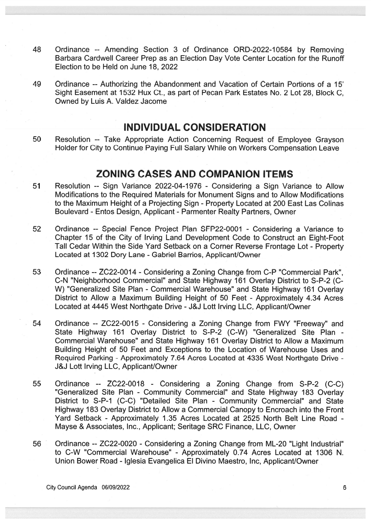- 48 Ordinance -- Amending Section 3 of Ordinance ORD-2022-10584 by Removing Barbara Cardwell Career Prep as an Election Day Vote Center Location for the Runoff Election to be Held on June 18, 2022
- 49 Ordinance -- Authorizing the Abandonment and Vacation of Certain Portions of a 15' Sight Easement at 1532 Hux Ct., as part of Pecan Park Estates No. 2 Lot 28, Block C. Owned by Luis A. Valdez Jacome

## INDIVIDUAL CONSIDERATION

50 Resolution -- Take Appropriate Action Concerning Request of Employee Grayson Holder for City to Continue Paying Full Salary While on Workers Compensation Leave

### ZONING CASES AND COMPANION ITEMS

- 51 Resolution -- Sign Variance 2022-04-1976 Considering <sup>a</sup> Sign Variance to Allow Modifications to the Required Materials for Monument Signs and to Allow Modifications to the Maximum Height of <sup>a</sup> Projecting Sign - Property Located at 200 East Las Colinas Boulevard - Entos Design, Applicant - Parmenter Realty Partners, Owner
- 52 Ordinance -- Special Fence Project Plan SFP22-0001 Considering <sup>a</sup> Variance to Chapter 15 of the City of Irving Land Development Code to Construct an Eight-Foot Tall Cedar Within the Side Yard Setback on <sup>a</sup> Corner Reverse Frontage Lot - Property Located at 1302 Dory Lane - Gabriel Barrios, Applicant/Owner
- 53 Ordinance --ZC22-0014 -Considering <sup>a</sup> Zoning Change from C-P "Commercial Park", C-N "Neighborhood Commercial" and State Highway 161 Overlay District to S-P-2 (C W) "Generalized Site Plan - Commercial Warehouse" and State Highway 161 Overlay District to Allow <sup>a</sup> Maximum Building Height of 50 Feet - Approximately 4.34 Acres Located at 4445 West Northgate Drive -J&J Lott Irving LLC, Applicant/Owner
- 54 Ordinance -- ZC22-0015 Considering <sup>a</sup> Zoning Change from FWY "Freeway" and State Highway 161 Overlay District to S-P-2 (C-W) "Generalized Site Plan -Commercial Warehouse" and State Highway 161 Overlay District to Allow <sup>a</sup> Maximum Building Height of 50 Feet and Exceptions to the Location of Warehouse Uses and Required Parking - Approximately 7.64 Acres Located at 4335 West Northgate Drive - J&J Lott Irving LLC, Applicant/Owner
- 55 Ordinance -- ZC22-0018 Considering <sup>a</sup> Zoning Change from S-P-2 (C-C) "Generalized Site Plan - Community Commercial" and State Highway 183 Overlay District to S-P-I (C-C) "Detailed Site Plan - Community Commercial" and State Highway 183 Overlay District to Allow a Commercial Canopy to Encroach into the Front Yard Setback - Approximately 1.35 Acres Located at 2525 North Belt Line Road -Mayse & Associates, Inc., Applicant; Seritage SRC Finance, LLC, Owner
- 56 Ordinance --ZC22-0020 Considering <sup>a</sup> Zoning Change from ML-20 "Light Industrial" to C-W "Commercial Warehouse" - Approximately 0.74 Acres Located at 1306 N. Union Bower Road - Iglesia Evangelica El Divino Maestro, Inc, Applicant/Owner